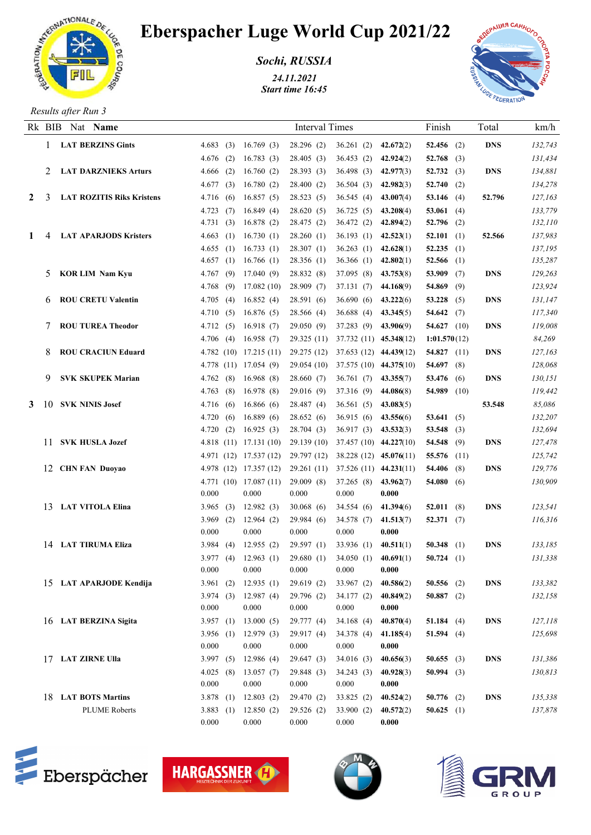

## Eberspacher Luge World Cup 2021/22

*Sochi, RUSSIA*

*24.11.2021 Start time 16:45*



*Results after Run 3*

|   |      | Rk BIB Nat Name                  |                     |                                      | <b>Interval Times</b>                           |                         |           | Finish                     | Total      | km/h               |
|---|------|----------------------------------|---------------------|--------------------------------------|-------------------------------------------------|-------------------------|-----------|----------------------------|------------|--------------------|
|   |      | <b>LAT BERZINS Gints</b>         | 4.683(3)            | 16.769(3)                            | 28.296(2)                                       | 36.261(2)               | 42.672(2) | 52.456 $(2)$               | <b>DNS</b> | 132,743            |
|   |      |                                  | $4.676$ (2)         | 16.783(3)                            | 28.405(3)                                       | 36.453(2)               | 42.924(2) | 52.768 $(3)$               |            | 131,434            |
|   | 2    | <b>LAT DARZNIEKS Arturs</b>      | 4.666(2)            | 16.760(2)                            | 28.393(3)                                       | 36.498(3)               | 42.977(3) | 52.732(3)                  | <b>DNS</b> | 134,881            |
|   |      |                                  | 4.677<br>(3)        | 16.780(2)                            | 28.400(2)                                       | 36.504(3)               | 42.982(3) | 52.740 $(2)$               |            | 134,278            |
| 2 | 3    | <b>LAT ROZITIS Riks Kristens</b> | 4.716(6)            | 16.857(5)                            | 28.523(5)                                       | 36.545(4)               | 43.007(4) | 53.146 $(4)$               | 52.796     | 127,163            |
|   |      |                                  | 4.723<br>(7)        | 16.849(4)                            | 28.620(5)                                       | 36.725(5)               | 43.208(4) | 53.061 $(4)$               |            | 133,779            |
|   |      |                                  | 4.731<br>(3)        | 16.878(2)                            | 28.475 (2)                                      | 36.472(2)               | 42.894(2) | 52.796 $(2)$               |            | 132,110            |
| 1 |      | <b>LAT APARJODS Kristers</b>     | 4.663<br>(1)        | 16.730(1)                            | 28.260(1)                                       | 36.193(1)               | 42.523(1) | 52.101 $(1)$               | 52.566     | 137,983            |
|   |      |                                  | 4.655(1)            | 16.733(1)                            | 28.307(1)                                       | 36.263(1)               | 42.628(1) | 52.235 $(1)$               |            | 137,195            |
|   |      |                                  | 4.657(1)            | 16.766(1)                            | 28.356(1)                                       | 36.366(1)               | 42.802(1) | 52.566 $(1)$               |            | 135,287            |
|   | 5    | <b>KOR LIM Nam Kyu</b>           | (9)<br>4.767        | 17.040(9)                            | 28.832 (8)                                      | 37.095 (8)              | 43.753(8) | 53.909 $(7)$               | <b>DNS</b> | 129,263            |
|   |      |                                  | 4.768<br>(9)        | 17.082(10)                           | 28.909(7)                                       | 37.131 (7)              | 44.168(9) | 54.869 (9)                 |            | 123,924            |
|   | 6    | <b>ROU CRETU Valentin</b>        | 4.705<br>(4)        | 16.852(4)                            | 28.591(6)                                       | 36.690(6)               | 43.222(6) | 53.228 $(5)$               | <b>DNS</b> | 131,147            |
|   |      |                                  | 4.710<br>(5)        | 16.876(5)                            | 28.566 (4)                                      | 36.688(4)               | 43.345(5) | 54.642 $(7)$               |            | 117,340            |
|   | 7    | <b>ROU TUREA Theodor</b>         | 4.712(5)            | 16.918(7)                            | 29.050(9)                                       | 37.283 (9)              | 43.906(9) | 54.627 $(10)$              | <b>DNS</b> | 119,008            |
|   |      |                                  | 4.706(4)            | 16.958(7)                            | 29.325(11)                                      | 37.732 (11) 45.348(12)  |           | 1:01.570(12)               |            | 84,269             |
|   | 8    | <b>ROU CRACIUN Eduard</b>        | 4.782(10)           | 17.215(11)                           | 29.275 (12)                                     | 37.653 (12) 44.439(12)  |           | 54.827 $(11)$              | <b>DNS</b> | 127,163            |
|   |      |                                  |                     | 4.778 (11) 17.054 (9)                | 29.054 (10)                                     | 37.575 (10) 44.375 (10) |           | 54.697 $(8)$               |            | 128,068            |
|   | 9    | <b>SVK SKUPEK Marian</b>         | (8)<br>4.762        | 16.968(8)                            | 28.660(7)                                       | 36.761(7)               | 43.355(7) | 53.476 (6)                 | <b>DNS</b> | 130,151            |
|   |      |                                  | 4.763<br>(8)        | 16.978(8)                            | 29.016(9)                                       | 37.316 (9)              | 44.086(8) | 54.989 (10)                |            | 119,442            |
| 3 | -10- | <b>SVK NINIS Josef</b>           | 4.716(6)            | 16.866(6)                            | 28.487(4)                                       | 36.561(5)               | 43.083(5) |                            | 53.548     | 85,086             |
|   |      |                                  | 4.720(6)            | 16.889(6)                            | 28.652(6)                                       | 36.915(6)               | 43.556(6) | 53.641 $(5)$               |            | 132,207            |
|   |      |                                  | 4.720(2)            | 16.925(3)                            | 28.704 (3)                                      | 36.917(3)               | 43.532(3) | 53.548 (3)                 |            | 132,694            |
|   |      | 11 SVK HUSLA Jozef               |                     | 4.818 $(11)$ 17.131 $(10)$           | 29.139 (10)                                     | 37.457 (10) 44.227(10)  |           | 54.548 $(9)$               | <b>DNS</b> | 127,478            |
|   |      |                                  |                     | 4.971 (12) 17.537 (12)               | 29.797 (12)                                     | 38.228 (12) 45.076(11)  |           | 55.576 (11)                |            | 125,742<br>129,776 |
|   |      | 12 CHN FAN Duoyao                |                     | 4.978 (12) 17.357 (12)<br>17.087(11) | 29.261 (11) 37.526 (11) 44.231(11)<br>29.009(8) | 37.265 (8)              | 43.962(7) | 54.406 $(8)$<br>54.080 (6) | <b>DNS</b> | 130,909            |
|   |      |                                  | 4.771 (10)<br>0.000 | 0.000                                | 0.000                                           | 0.000                   | 0.000     |                            |            |                    |
|   |      | 13 LAT VITOLA Elina              | 3.965<br>(3)        | 12.982(3)                            | 30.068(6)                                       | 34.554 (6)              | 41.394(6) | 52.011(8)                  | <b>DNS</b> | 123,541            |
|   |      |                                  | 3.969<br>(2)        | 12.964(2)                            | 29.984 (6)                                      | 34.578 (7)              | 41.513(7) | 52.371(7)                  |            | 116,316            |
|   |      |                                  | 0.000               | 0.000                                | 0.000                                           | 0.000                   | 0.000     |                            |            |                    |
|   |      | 14 LAT TIRUMA Eliza              | 3.984<br>(4)        | 12.955(2)                            | 29.597(1)                                       | 33.936(1)               | 40.511(1) | 50.348 $(1)$               | <b>DNS</b> | 133,185            |
|   |      |                                  | 3.977(4)            | 12.963(1)                            | 29.680(1)                                       | 34.050 (1) $40.691(1)$  |           | 50.724 $(1)$               |            | 131,338            |
|   |      |                                  | 0.000               | 0.000                                | 0.000                                           | 0.000                   | 0.000     |                            |            |                    |
|   |      | 15 LAT APARJODE Kendija          | (2)<br>3.961        | 12.935(1)                            | 29.619(2)                                       | 33.967(2)               | 40.586(2) | 50.556 $(2)$               | <b>DNS</b> | 133,382            |
|   |      |                                  | 3.974(3)            | 12.987(4)                            | 29.796 (2)                                      | 34.177(2)               | 40.849(2) | 50.887 $(2)$               |            | 132,158            |
|   |      |                                  | 0.000               | 0.000                                | 0.000                                           | 0.000                   | 0.000     |                            |            |                    |
|   |      | 16 LAT BERZINA Sigita            | 3.957 $(1)$         | 13.000(5)                            | 29.777(4)                                       | 34.168(4)               | 40.870(4) | 51.184 $(4)$               | <b>DNS</b> | 127,118            |
|   |      |                                  | 3.956(1)            | 12.979(3)                            | 29.917 (4)                                      | 34.378 (4)              | 41.185(4) | 51.594 $(4)$               |            | 125,698            |
|   |      |                                  | 0.000               | 0.000                                | 0.000                                           | 0.000                   | 0.000     |                            |            |                    |
|   |      | 17 LAT ZIRNE Ulla                | 3.997 $(5)$         | 12.986 (4)                           | 29.647 (3)                                      | 34.016(3)               | 40.656(3) | 50.655 (3)                 | <b>DNS</b> | 131,386            |
|   |      |                                  | 4.025(8)            | 13.057(7)                            | 29.848 (3)                                      | 34.243(3)               | 40.928(3) | 50.994 (3)                 |            | 130,813            |
|   |      |                                  | 0.000               | 0.000                                | 0.000                                           | 0.000                   | 0.000     |                            |            |                    |
|   |      | 18 LAT BOTS Martins              | 3.878(1)            | 12.803(2)                            | 29.470(2)                                       | 33.825(2)               | 40.524(2) | $50.776$ (2)               | <b>DNS</b> | 135,338            |
|   |      | <b>PLUME Roberts</b>             | 3.883(1)            | 12.850(2)                            | 29.526(2)                                       | 33.900(2)               | 40.572(2) | 50.625 $(1)$               |            | 137,878            |
|   |      |                                  | 0.000               | 0.000                                | 0.000                                           | 0.000                   | 0.000     |                            |            |                    |